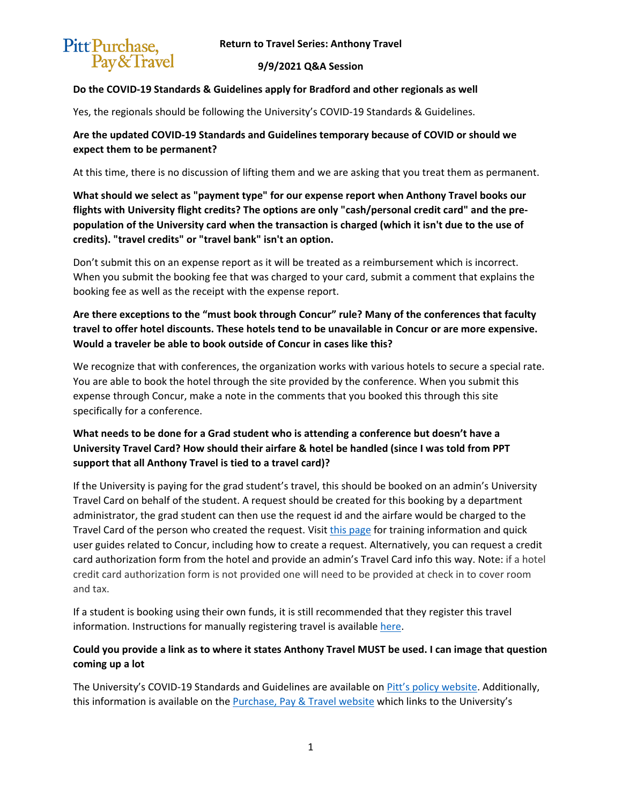

#### **9/9/2021 Q&A Session**

### **Do the COVID-19 Standards & Guidelines apply for Bradford and other regionals as well**

Yes, the regionals should be following the University's COVID-19 Standards & Guidelines.

## **Are the updated COVID-19 Standards and Guidelines temporary because of COVID or should we expect them to be permanent?**

At this time, there is no discussion of lifting them and we are asking that you treat them as permanent.

**What should we select as "payment type" for our expense report when Anthony Travel books our flights with University flight credits? The options are only "cash/personal credit card" and the prepopulation of the University card when the transaction is charged (which it isn't due to the use of credits). "travel credits" or "travel bank" isn't an option.**

Don't submit this on an expense report as it will be treated as a reimbursement which is incorrect. When you submit the booking fee that was charged to your card, submit a comment that explains the booking fee as well as the receipt with the expense report.

# **Are there exceptions to the "must book through Concur" rule? Many of the conferences that faculty travel to offer hotel discounts. These hotels tend to be unavailable in Concur or are more expensive. Would a traveler be able to book outside of Concur in cases like this?**

We recognize that with conferences, the organization works with various hotels to secure a special rate. You are able to book the hotel through the site provided by the conference. When you submit this expense through Concur, make a note in the comments that you booked this through this site specifically for a conference.

# **What needs to be done for a Grad student who is attending a conference but doesn't have a University Travel Card? How should their airfare & hotel be handled (since I was told from PPT support that all Anthony Travel is tied to a travel card)?**

If the University is paying for the grad student's travel, this should be booked on an admin's University Travel Card on behalf of the student. A request should be created for this booking by a department administrator, the grad student can then use the request id and the airfare would be charged to the Travel Card of the person who created the request. Visit [this page](https://www.ppt.pitt.edu/help-training/system-access-training) for training information and quick user guides related to Concur, including how to create a request. Alternatively, you can request a credit card authorization form from the hotel and provide an admin's Travel Card info this way. Note: if a hotel credit card authorization form is not provided one will need to be provided at check in to cover room and tax.

If a student is booking using their own funds, it is still recommended that they register this travel information. Instructions for manually registering travel is availabl[e here.](https://www.ppt.pitt.edu/travel-expenses/book-your-travel/concur#register_travel)

# **Could you provide a link as to where it states Anthony Travel MUST be used. I can image that question coming up a lot**

The University's COVID-19 Standards and Guidelines are available on *Pitt's policy website*. Additionally, this information is available on the [Purchase, Pay & Travel website](https://www.ppt.pitt.edu/travel-expenses/book-your-travel/anthony-travel) which links to the University's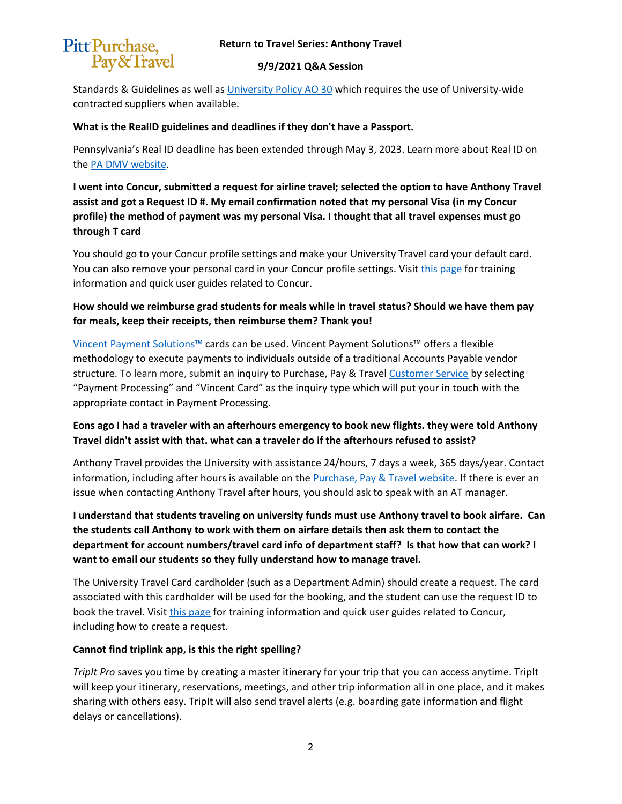#### **Return to Travel Series: Anthony Travel**



#### **9/9/2021 Q&A Session**

Standards & Guidelines as well as [University Policy AO 30](https://www.policy.pitt.edu/ao-30-required-use-contracted-suppliers-formerly-05-02-15) which requires the use of University-wide contracted suppliers when available.

### **What is the RealID guidelines and deadlines if they don't have a Passport.**

Pennsylvania's Real ID deadline has been extended through May 3, 2023. Learn more about Real ID on the [PA DMV website.](https://www.dmv.pa.gov/REALID/pages/default.aspx)

**I went into Concur, submitted a request for airline travel; selected the option to have Anthony Travel assist and got a Request ID #. My email confirmation noted that my personal Visa (in my Concur profile) the method of payment was my personal Visa. I thought that all travel expenses must go through T card**

You should go to your Concur profile settings and make your University Travel card your default card. You can also remove your personal card in your Concur profile settings. Visi[t this page](https://www.ppt.pitt.edu/help-training/system-access-training) for training information and quick user guides related to Concur.

**How should we reimburse grad students for meals while in travel status? Should we have them pay for meals, keep their receipts, then reimburse them? Thank you!**

[Vincent Payment Solutions™](https://www.ppt.pitt.edu/payments-taxes/payment-methods/vincent-paying-research-participantindividuals) cards can be used. Vincent Payment Solutions™ offers a flexible methodology to execute payments to individuals outside of a traditional Accounts Payable vendor structure. To learn more, submit an inquiry to [Purchase, Pay & Travel Customer Service](https://www.ppt.pitt.edu/help-training/contact-us) by selecting "Payment Processing" and "Vincent Card" as the inquiry type which will put your in touch with the appropriate contact in Payment Processing.

### **Eons ago I had a traveler with an afterhours emergency to book new flights. they were told Anthony Travel didn't assist with that. what can a traveler do if the afterhours refused to assist?**

Anthony Travel provides the University with assistance 24/hours, 7 days a week, 365 days/year. Contact information, including after hours is available on the [Purchase, Pay & Travel website.](https://www.ppt.pitt.edu/travel-expenses/book-your-travel/anthony-travel) If there is ever an issue when contacting Anthony Travel after hours, you should ask to speak with an AT manager.

**I understand that students traveling on university funds must use Anthony travel to book airfare. Can the students call Anthony to work with them on airfare details then ask them to contact the department for account numbers/travel card info of department staff? Is that how that can work? I want to email our students so they fully understand how to manage travel.**

The University Travel Card cardholder (such as a Department Admin) should create a request. The card associated with this cardholder will be used for the booking, and the student can use the request ID to book the travel. Visit [this page](https://www.ppt.pitt.edu/help-training/system-access-training) for training information and quick user guides related to Concur, including how to create a request.

### **Cannot find triplink app, is this the right spelling?**

*TripIt Pro* saves you time by creating a master itinerary for your trip that you can access anytime. TripIt will keep your itinerary, reservations, meetings, and other trip information all in one place, and it makes sharing with others easy. TripIt will also send travel alerts (e.g. boarding gate information and flight delays or cancellations).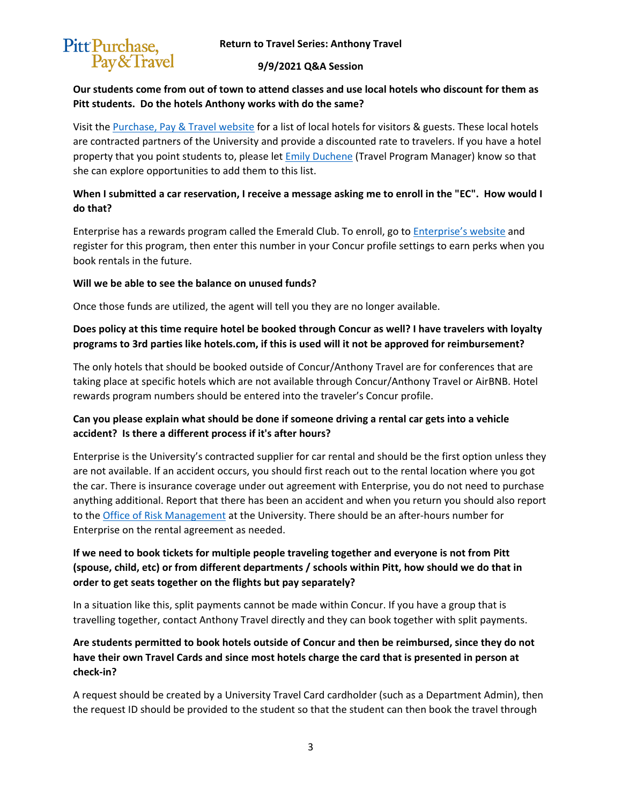

### **9/9/2021 Q&A Session**

### **Our students come from out of town to attend classes and use local hotels who discount for them as Pitt students. Do the hotels Anthony works with do the same?**

Visit the [Purchase, Pay & Travel website](https://www.ppt.pitt.edu/travel-expenses/local-hotels) for a list of local hotels for visitors & guests. These local hotels are contracted partners of the University and provide a discounted rate to travelers. If you have a hotel property that you point students to, please let **Emily Duchene** (Travel Program Manager) know so that she can explore opportunities to add them to this list.

# **When I submitted a car reservation, I receive a message asking me to enroll in the "EC". How would I do that?**

Enterprise has a rewards program called the Emerald Club. To enroll, go to *Enterprise's website* and register for this program, then enter this number in your Concur profile settings to earn perks when you book rentals in the future.

### **Will we be able to see the balance on unused funds?**

Once those funds are utilized, the agent will tell you they are no longer available.

# **Does policy at this time require hotel be booked through Concur as well? I have travelers with loyalty programs to 3rd parties like hotels.com, if this is used will it not be approved for reimbursement?**

The only hotels that should be booked outside of Concur/Anthony Travel are for conferences that are taking place at specific hotels which are not available through Concur/Anthony Travel or AirBNB. Hotel rewards program numbers should be entered into the traveler's Concur profile.

# **Can you please explain what should be done if someone driving a rental car gets into a vehicle accident? Is there a different process if it's after hours?**

Enterprise is the University's contracted supplier for car rental and should be the first option unless they are not available. If an accident occurs, you should first reach out to the rental location where you got the car. There is insurance coverage under out agreement with Enterprise, you do not need to purchase anything additional. Report that there has been an accident and when you return you should also report to the [Office of Risk Management](https://www.risk.pitt.edu/) at the University. There should be an after-hours number for Enterprise on the rental agreement as needed.

# **If we need to book tickets for multiple people traveling together and everyone is not from Pitt (spouse, child, etc) or from different departments / schools within Pitt, how should we do that in order to get seats together on the flights but pay separately?**

In a situation like this, split payments cannot be made within Concur. If you have a group that is travelling together, contact Anthony Travel directly and they can book together with split payments.

# **Are students permitted to book hotels outside of Concur and then be reimbursed, since they do not have their own Travel Cards and since most hotels charge the card that is presented in person at check-in?**

A request should be created by a University Travel Card cardholder (such as a Department Admin), then the request ID should be provided to the student so that the student can then book the travel through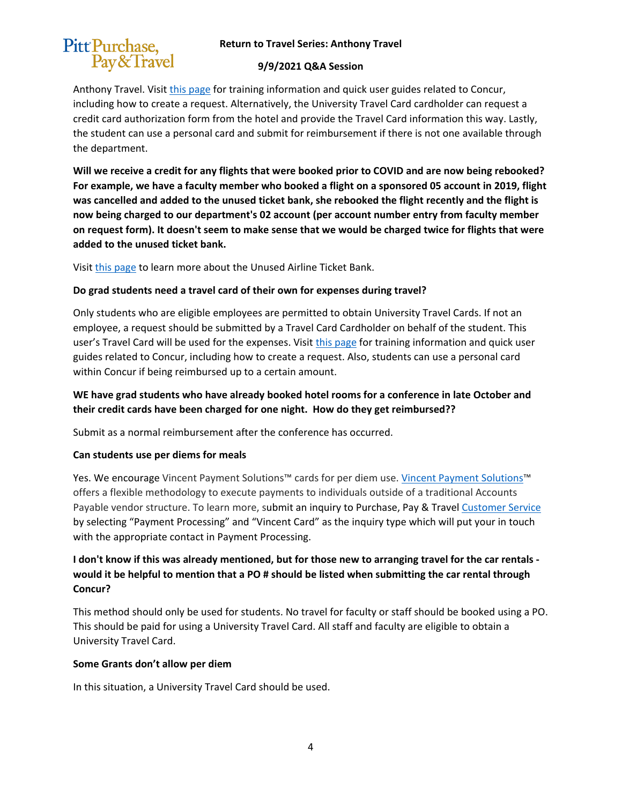### **Return to Travel Series: Anthony Travel**



#### **9/9/2021 Q&A Session**

Anthony Travel. Visit [this page](https://www.ppt.pitt.edu/help-training/system-access-training) for training information and quick user guides related to Concur, including how to create a request. Alternatively, the University Travel Card cardholder can request a credit card authorization form from the hotel and provide the Travel Card information this way. Lastly, the student can use a personal card and submit for reimbursement if there is not one available through the department.

**Will we receive a credit for any flights that were booked prior to COVID and are now being rebooked? For example, we have a faculty member who booked a flight on a sponsored 05 account in 2019, flight was cancelled and added to the unused ticket bank, she rebooked the flight recently and the flight is now being charged to our department's 02 account (per account number entry from faculty member on request form). It doesn't seem to make sense that we would be charged twice for flights that were added to the unused ticket bank.**

Visit [this page](https://www.ppt.pitt.edu/news/unused-airline-ticket-bank-travel-reminders) to learn more about the Unused Airline Ticket Bank.

### **Do grad students need a travel card of their own for expenses during travel?**

Only students who are eligible employees are permitted to obtain University Travel Cards. If not an employee, a request should be submitted by a Travel Card Cardholder on behalf of the student. This user's Travel Card will be used for the expenses. Visit [this page](https://www.ppt.pitt.edu/help-training/system-access-training) for training information and quick user guides related to Concur, including how to create a request. Also, students can use a personal card within Concur if being reimbursed up to a certain amount.

## **WE have grad students who have already booked hotel rooms for a conference in late October and their credit cards have been charged for one night. How do they get reimbursed??**

Submit as a normal reimbursement after the conference has occurred.

#### **Can students use per diems for meals**

Yes. We encourage Vincent Payment Solutions™ cards for per diem use. [Vincent Payment Solutions™](https://www.ppt.pitt.edu/payments-taxes/payment-methods/vincent-paying-research-participantindividuals) offers a flexible methodology to execute payments to individuals outside of a traditional Accounts Payable vendor structure. To learn more, submit an inquiry to [Purchase, Pay & Travel Customer Service](https://www.ppt.pitt.edu/help-training/contact-us) by selecting "Payment Processing" and "Vincent Card" as the inquiry type which will put your in touch with the appropriate contact in Payment Processing.

# **I don't know if this was already mentioned, but for those new to arranging travel for the car rentals would it be helpful to mention that a PO # should be listed when submitting the car rental through Concur?**

This method should only be used for students. No travel for faculty or staff should be booked using a PO. This should be paid for using a University Travel Card. All staff and faculty are eligible to obtain a University Travel Card.

#### **Some Grants don't allow per diem**

In this situation, a University Travel Card should be used.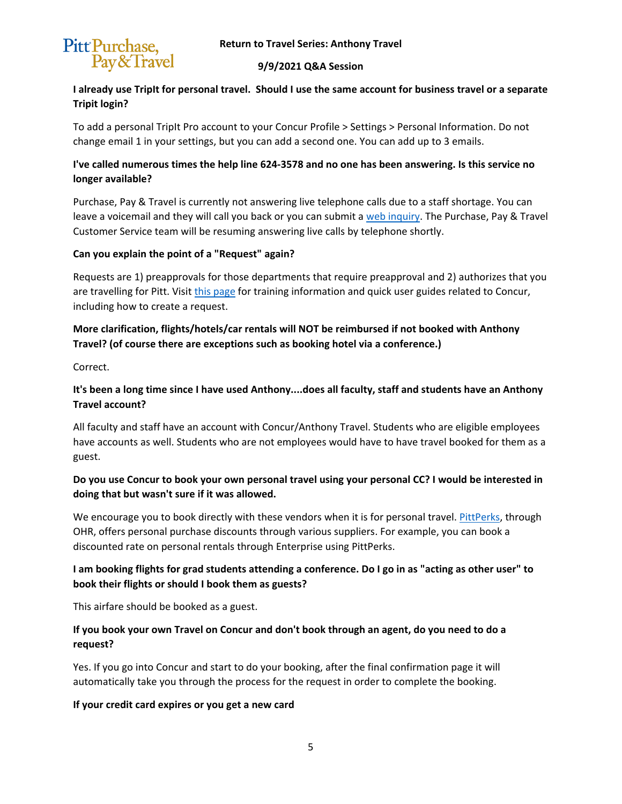

### **9/9/2021 Q&A Session**

## **I already use TripIt for personal travel. Should I use the same account for business travel or a separate Tripit login?**

To add a personal TripIt Pro account to your Concur Profile > Settings > Personal Information. Do not change email 1 in your settings, but you can add a second one. You can add up to 3 emails.

# **I've called numerous times the help line 624-3578 and no one has been answering. Is this service no longer available?**

Purchase, Pay & Travel is currently not answering live telephone calls due to a staff shortage. You can leave a voicemail and they will call you back or you can submit [a web inquiry.](https://www.ppt.pitt.edu/help-training/contact-us) The Purchase, Pay & Travel Customer Service team will be resuming answering live calls by telephone shortly.

### **Can you explain the point of a "Request" again?**

Requests are 1) preapprovals for those departments that require preapproval and 2) authorizes that you are travelling for Pitt. Visit [this page](https://www.ppt.pitt.edu/help-training/system-access-training) for training information and quick user guides related to Concur, including how to create a request.

# **More clarification, flights/hotels/car rentals will NOT be reimbursed if not booked with Anthony Travel? (of course there are exceptions such as booking hotel via a conference.)**

Correct.

# **It's been a long time since I have used Anthony....does all faculty, staff and students have an Anthony Travel account?**

All faculty and staff have an account with Concur/Anthony Travel. Students who are eligible employees have accounts as well. Students who are not employees would have to have travel booked for them as a guest.

# **Do you use Concur to book your own personal travel using your personal CC? I would be interested in doing that but wasn't sure if it was allowed.**

We encourage you to book directly with these vendors when it is for personal travel. [PittPerks,](https://www.hr.pitt.edu/current-employees/work-life-balance/pittperks) through OHR, offers personal purchase discounts through various suppliers. For example, you can book a discounted rate on personal rentals through Enterprise using PittPerks.

# **I am booking flights for grad students attending a conference. Do I go in as "acting as other user" to book their flights or should I book them as guests?**

This airfare should be booked as a guest.

# **If you book your own Travel on Concur and don't book through an agent, do you need to do a request?**

Yes. If you go into Concur and start to do your booking, after the final confirmation page it will automatically take you through the process for the request in order to complete the booking.

### **If your credit card expires or you get a new card**